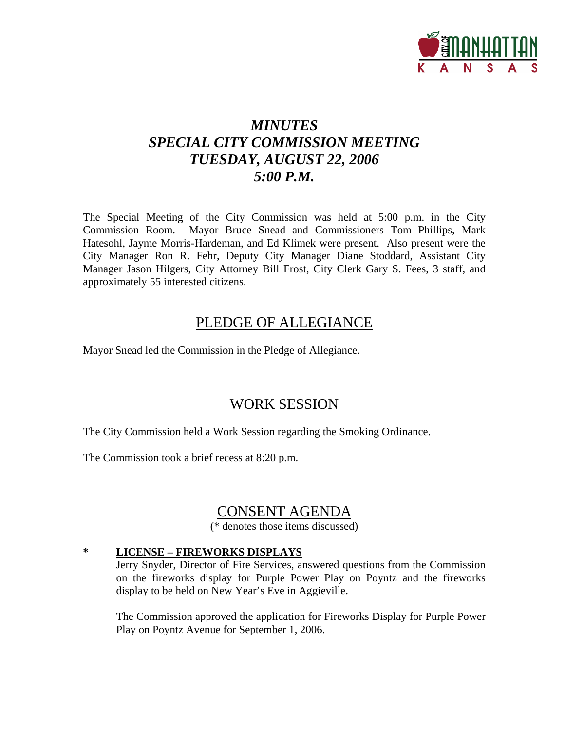

## *MINUTES SPECIAL CITY COMMISSION MEETING TUESDAY, AUGUST 22, 2006 5:00 P.M.*

The Special Meeting of the City Commission was held at 5:00 p.m. in the City Commission Room. Mayor Bruce Snead and Commissioners Tom Phillips, Mark Hatesohl, Jayme Morris-Hardeman, and Ed Klimek were present. Also present were the City Manager Ron R. Fehr, Deputy City Manager Diane Stoddard, Assistant City Manager Jason Hilgers, City Attorney Bill Frost, City Clerk Gary S. Fees, 3 staff, and approximately 55 interested citizens.

## PLEDGE OF ALLEGIANCE

Mayor Snead led the Commission in the Pledge of Allegiance.

### WORK SESSION

The City Commission held a Work Session regarding the Smoking Ordinance.

The Commission took a brief recess at 8:20 p.m.

## CONSENT AGENDA

(\* denotes those items discussed)

### **\* LICENSE – FIREWORKS DISPLAYS**

Jerry Snyder, Director of Fire Services, answered questions from the Commission on the fireworks display for Purple Power Play on Poyntz and the fireworks display to be held on New Year's Eve in Aggieville.

The Commission approved the application for Fireworks Display for Purple Power Play on Poyntz Avenue for September 1, 2006.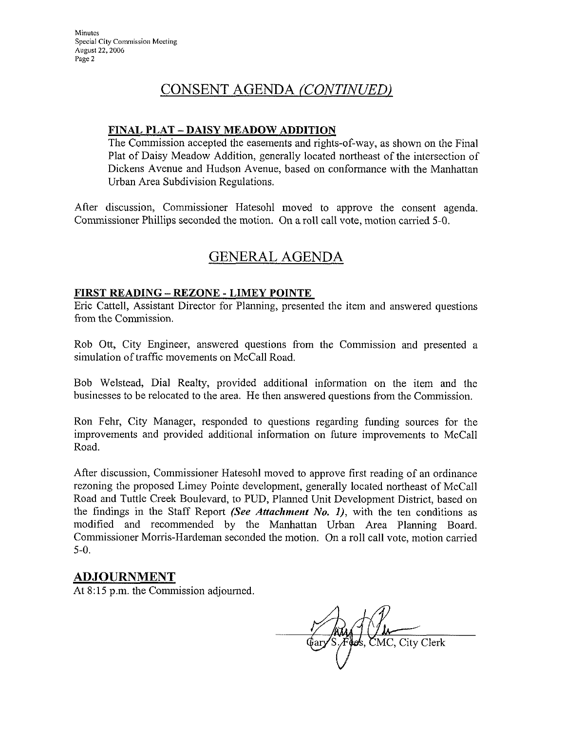## CONSENT AGENDA (CONTINUED)

#### FINAL PLAT - DAISY MEADOW ADDITION

The Commission accepted the easements and rights-of-way, as shown on the Final Plat of Daisy Meadow Addition, generally located northeast of the intersection of Dickens Avenue and Hudson Avenue, based on conformance with the Manhattan Urban Area Subdivision Regulations.

After discussion, Commissioner Hatesohl moved to approve the consent agenda. Commissioner Phillips seconded the motion. On a roll call vote, motion carried 5-0.

# **GENERAL AGENDA**

#### **FIRST READING - REZONE - LIMEY POINTE**

Eric Cattell, Assistant Director for Planning, presented the item and answered questions from the Commission.

Rob Ott, City Engineer, answered questions from the Commission and presented a simulation of traffic movements on McCall Road.

Bob Welstead, Dial Realty, provided additional information on the item and the businesses to be relocated to the area. He then answered questions from the Commission.

Ron Fehr, City Manager, responded to questions regarding funding sources for the improvements and provided additional information on future improvements to McCall Road.

After discussion, Commissioner Hatesohl moved to approve first reading of an ordinance rezoning the proposed Limey Pointe development, generally located northeast of McCall Road and Tuttle Creek Boulevard, to PUD, Planned Unit Development District, based on the findings in the Staff Report (See Attachment No. 1), with the ten conditions as modified and recommended by the Manhattan Urban Area Planning Board. Commissioner Morris-Hardeman seconded the motion. On a roll call vote, motion carried  $5-0.$ 

### **ADJOURNMENT**

At 8:15 p.m. the Commission adjourned.

os, CMC, City Clerk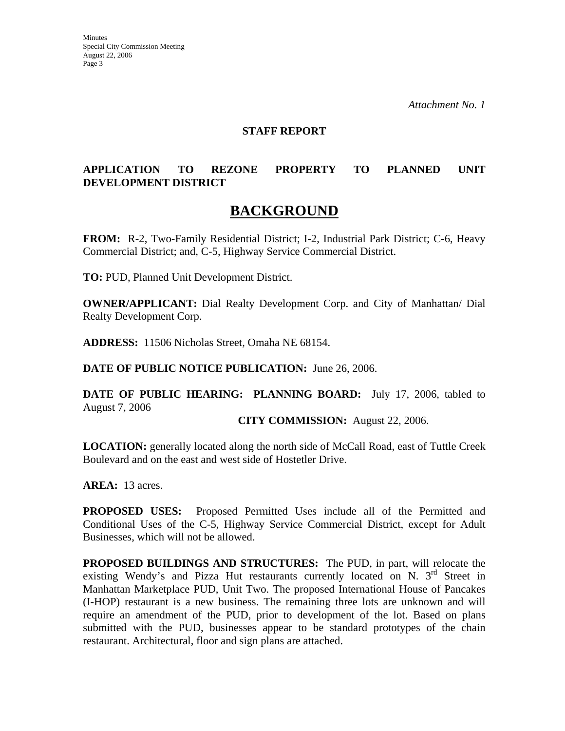#### **STAFF REPORT**

#### **APPLICATION TO REZONE PROPERTY TO PLANNED UNIT DEVELOPMENT DISTRICT**

## **BACKGROUND**

**FROM:** R-2, Two-Family Residential District; I-2, Industrial Park District; C-6, Heavy Commercial District; and, C-5, Highway Service Commercial District.

**TO:** PUD, Planned Unit Development District.

**OWNER/APPLICANT:** Dial Realty Development Corp. and City of Manhattan/ Dial Realty Development Corp.

**ADDRESS:** 11506 Nicholas Street, Omaha NE 68154.

**DATE OF PUBLIC NOTICE PUBLICATION:** June 26, 2006.

**DATE OF PUBLIC HEARING: PLANNING BOARD:** July 17, 2006, tabled to August 7, 2006

#### **CITY COMMISSION:** August 22, 2006.

**LOCATION:** generally located along the north side of McCall Road, east of Tuttle Creek Boulevard and on the east and west side of Hostetler Drive.

**AREA:** 13 acres.

**PROPOSED USES:** Proposed Permitted Uses include all of the Permitted and Conditional Uses of the C-5, Highway Service Commercial District, except for Adult Businesses, which will not be allowed.

**PROPOSED BUILDINGS AND STRUCTURES:** The PUD, in part, will relocate the existing Wendy's and Pizza Hut restaurants currently located on N. 3<sup>rd</sup> Street in Manhattan Marketplace PUD, Unit Two. The proposed International House of Pancakes (I-HOP) restaurant is a new business. The remaining three lots are unknown and will require an amendment of the PUD, prior to development of the lot. Based on plans submitted with the PUD, businesses appear to be standard prototypes of the chain restaurant. Architectural, floor and sign plans are attached.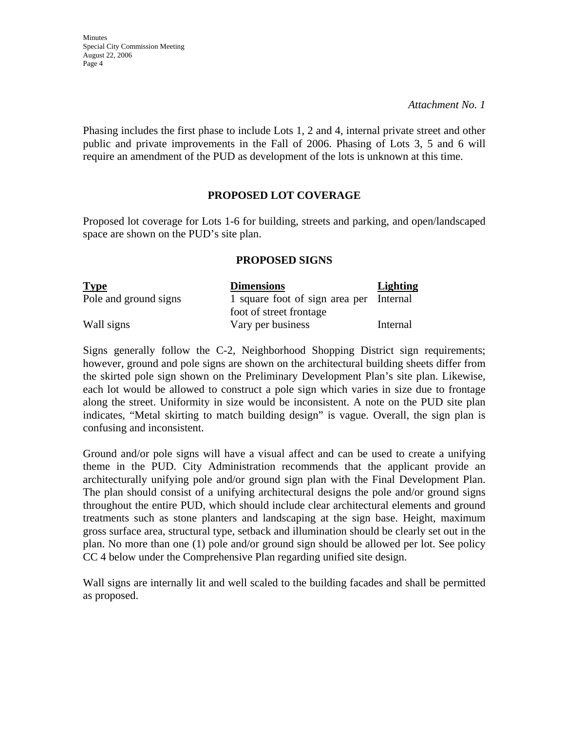*Attachment No. 1* 

Phasing includes the first phase to include Lots 1, 2 and 4, internal private street and other public and private improvements in the Fall of 2006. Phasing of Lots 3, 5 and 6 will require an amendment of the PUD as development of the lots is unknown at this time.

#### **PROPOSED LOT COVERAGE**

Proposed lot coverage for Lots 1-6 for building, streets and parking, and open/landscaped space are shown on the PUD's site plan.

#### **PROPOSED SIGNS**

| <b>Type</b>           | <b>Dimensions</b>                       | <b>Lighting</b> |
|-----------------------|-----------------------------------------|-----------------|
| Pole and ground signs | 1 square foot of sign area per Internal |                 |
|                       | foot of street frontage                 |                 |
| Wall signs            | Vary per business                       | Internal        |

Signs generally follow the C-2, Neighborhood Shopping District sign requirements; however, ground and pole signs are shown on the architectural building sheets differ from the skirted pole sign shown on the Preliminary Development Plan's site plan. Likewise, each lot would be allowed to construct a pole sign which varies in size due to frontage along the street. Uniformity in size would be inconsistent. A note on the PUD site plan indicates, "Metal skirting to match building design" is vague. Overall, the sign plan is confusing and inconsistent.

Ground and/or pole signs will have a visual affect and can be used to create a unifying theme in the PUD. City Administration recommends that the applicant provide an architecturally unifying pole and/or ground sign plan with the Final Development Plan. The plan should consist of a unifying architectural designs the pole and/or ground signs throughout the entire PUD, which should include clear architectural elements and ground treatments such as stone planters and landscaping at the sign base. Height, maximum gross surface area, structural type, setback and illumination should be clearly set out in the plan. No more than one (1) pole and/or ground sign should be allowed per lot. See policy CC 4 below under the Comprehensive Plan regarding unified site design.

Wall signs are internally lit and well scaled to the building facades and shall be permitted as proposed.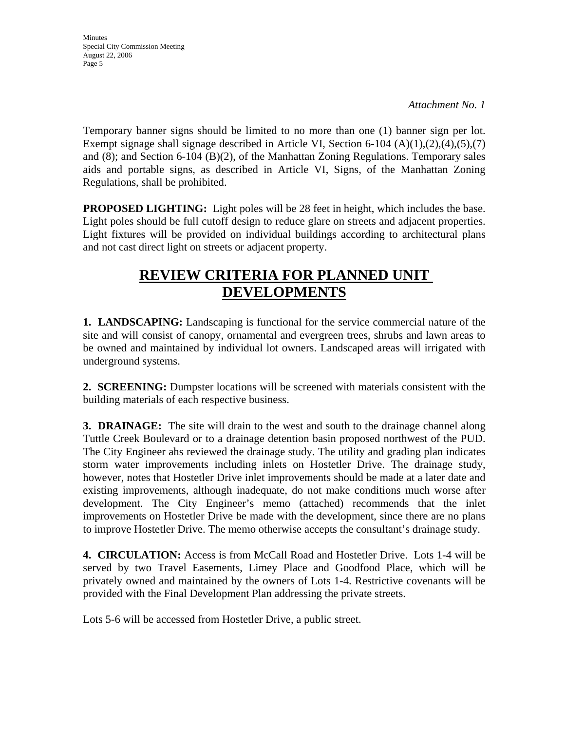*Attachment No. 1* 

Temporary banner signs should be limited to no more than one (1) banner sign per lot. Exempt signage shall signage described in Article VI, Section 6-104 (A)(1),(2),(4),(5),(7) and (8); and Section 6-104 (B)(2), of the Manhattan Zoning Regulations. Temporary sales aids and portable signs, as described in Article VI, Signs, of the Manhattan Zoning Regulations, shall be prohibited.

**PROPOSED LIGHTING:** Light poles will be 28 feet in height, which includes the base. Light poles should be full cutoff design to reduce glare on streets and adjacent properties. Light fixtures will be provided on individual buildings according to architectural plans and not cast direct light on streets or adjacent property.

# **REVIEW CRITERIA FOR PLANNED UNIT DEVELOPMENTS**

**1. LANDSCAPING:** Landscaping is functional for the service commercial nature of the site and will consist of canopy, ornamental and evergreen trees, shrubs and lawn areas to be owned and maintained by individual lot owners. Landscaped areas will irrigated with underground systems.

**2. SCREENING:** Dumpster locations will be screened with materials consistent with the building materials of each respective business.

**3. DRAINAGE:** The site will drain to the west and south to the drainage channel along Tuttle Creek Boulevard or to a drainage detention basin proposed northwest of the PUD. The City Engineer ahs reviewed the drainage study. The utility and grading plan indicates storm water improvements including inlets on Hostetler Drive. The drainage study, however, notes that Hostetler Drive inlet improvements should be made at a later date and existing improvements, although inadequate, do not make conditions much worse after development. The City Engineer's memo (attached) recommends that the inlet improvements on Hostetler Drive be made with the development, since there are no plans to improve Hostetler Drive. The memo otherwise accepts the consultant's drainage study.

**4. CIRCULATION:** Access is from McCall Road and Hostetler Drive. Lots 1-4 will be served by two Travel Easements, Limey Place and Goodfood Place, which will be privately owned and maintained by the owners of Lots 1-4. Restrictive covenants will be provided with the Final Development Plan addressing the private streets.

Lots 5-6 will be accessed from Hostetler Drive, a public street.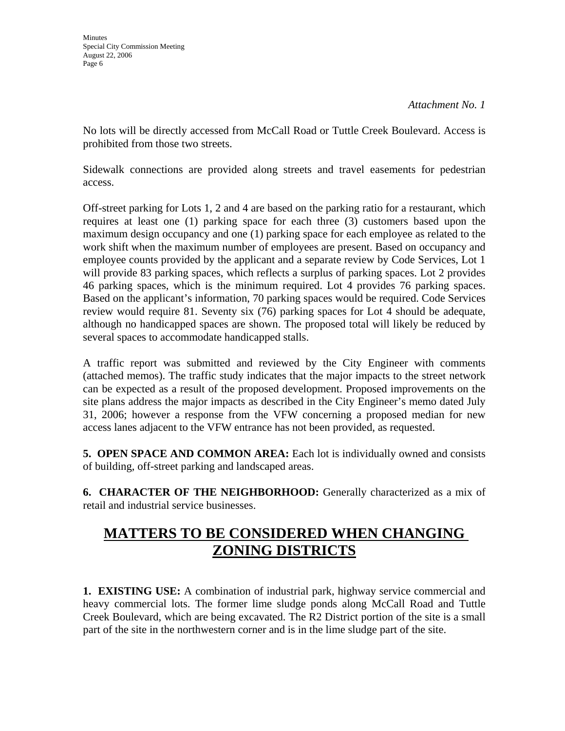No lots will be directly accessed from McCall Road or Tuttle Creek Boulevard. Access is prohibited from those two streets.

Sidewalk connections are provided along streets and travel easements for pedestrian access.

Off-street parking for Lots 1, 2 and 4 are based on the parking ratio for a restaurant, which requires at least one (1) parking space for each three (3) customers based upon the maximum design occupancy and one (1) parking space for each employee as related to the work shift when the maximum number of employees are present. Based on occupancy and employee counts provided by the applicant and a separate review by Code Services, Lot 1 will provide 83 parking spaces, which reflects a surplus of parking spaces. Lot 2 provides 46 parking spaces, which is the minimum required. Lot 4 provides 76 parking spaces. Based on the applicant's information, 70 parking spaces would be required. Code Services review would require 81. Seventy six (76) parking spaces for Lot 4 should be adequate, although no handicapped spaces are shown. The proposed total will likely be reduced by several spaces to accommodate handicapped stalls.

A traffic report was submitted and reviewed by the City Engineer with comments (attached memos). The traffic study indicates that the major impacts to the street network can be expected as a result of the proposed development. Proposed improvements on the site plans address the major impacts as described in the City Engineer's memo dated July 31, 2006; however a response from the VFW concerning a proposed median for new access lanes adjacent to the VFW entrance has not been provided, as requested.

**5. OPEN SPACE AND COMMON AREA:** Each lot is individually owned and consists of building, off-street parking and landscaped areas.

**6. CHARACTER OF THE NEIGHBORHOOD:** Generally characterized as a mix of retail and industrial service businesses.

# **MATTERS TO BE CONSIDERED WHEN CHANGING ZONING DISTRICTS**

**1. EXISTING USE:** A combination of industrial park, highway service commercial and heavy commercial lots. The former lime sludge ponds along McCall Road and Tuttle Creek Boulevard, which are being excavated. The R2 District portion of the site is a small part of the site in the northwestern corner and is in the lime sludge part of the site.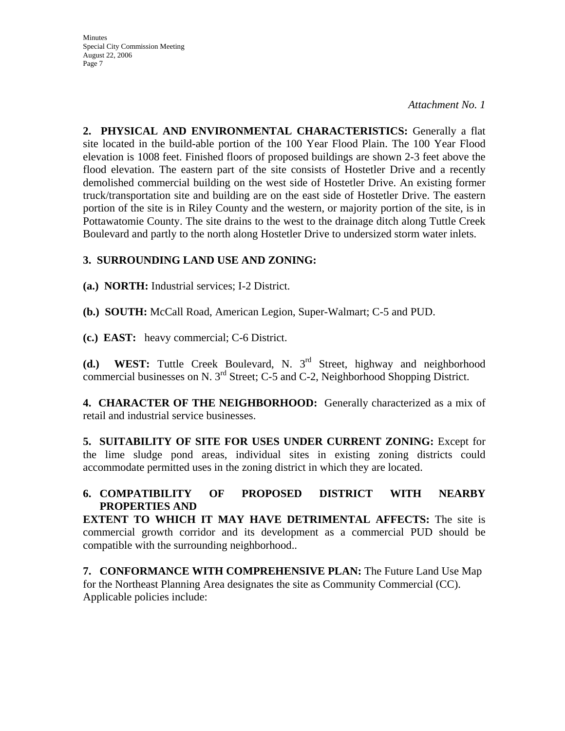*Attachment No. 1* 

**2. PHYSICAL AND ENVIRONMENTAL CHARACTERISTICS:** Generally a flat site located in the build-able portion of the 100 Year Flood Plain. The 100 Year Flood elevation is 1008 feet. Finished floors of proposed buildings are shown 2-3 feet above the flood elevation. The eastern part of the site consists of Hostetler Drive and a recently demolished commercial building on the west side of Hostetler Drive. An existing former truck/transportation site and building are on the east side of Hostetler Drive. The eastern portion of the site is in Riley County and the western, or majority portion of the site, is in Pottawatomie County. The site drains to the west to the drainage ditch along Tuttle Creek Boulevard and partly to the north along Hostetler Drive to undersized storm water inlets.

#### **3. SURROUNDING LAND USE AND ZONING:**

**(a.) NORTH:** Industrial services; I-2 District.

**(b.) SOUTH:** McCall Road, American Legion, Super-Walmart; C-5 and PUD.

**(c.) EAST:** heavy commercial; C-6 District.

**(d.) WEST:** Tuttle Creek Boulevard, N. 3rd Street, highway and neighborhood commercial businesses on N. 3rd Street; C-5 and C-2, Neighborhood Shopping District.

**4. CHARACTER OF THE NEIGHBORHOOD:** Generally characterized as a mix of retail and industrial service businesses.

**5. SUITABILITY OF SITE FOR USES UNDER CURRENT ZONING:** Except for the lime sludge pond areas, individual sites in existing zoning districts could accommodate permitted uses in the zoning district in which they are located.

#### **6. COMPATIBILITY OF PROPOSED DISTRICT WITH NEARBY PROPERTIES AND**

**EXTENT TO WHICH IT MAY HAVE DETRIMENTAL AFFECTS:** The site is commercial growth corridor and its development as a commercial PUD should be compatible with the surrounding neighborhood..

**7. CONFORMANCE WITH COMPREHENSIVE PLAN:** The Future Land Use Map for the Northeast Planning Area designates the site as Community Commercial (CC). Applicable policies include: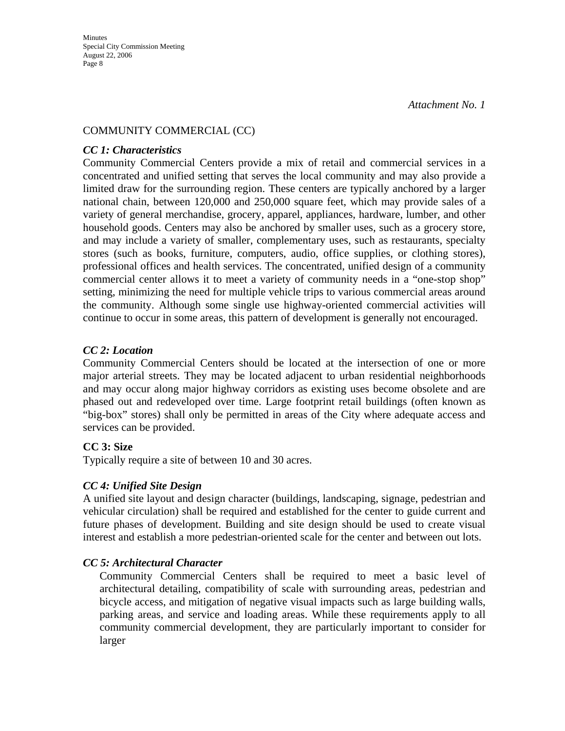#### COMMUNITY COMMERCIAL (CC)

#### *CC 1: Characteristics*

Community Commercial Centers provide a mix of retail and commercial services in a concentrated and unified setting that serves the local community and may also provide a limited draw for the surrounding region. These centers are typically anchored by a larger national chain, between 120,000 and 250,000 square feet, which may provide sales of a variety of general merchandise, grocery, apparel, appliances, hardware, lumber, and other household goods. Centers may also be anchored by smaller uses, such as a grocery store, and may include a variety of smaller, complementary uses, such as restaurants, specialty stores (such as books, furniture, computers, audio, office supplies, or clothing stores), professional offices and health services. The concentrated, unified design of a community commercial center allows it to meet a variety of community needs in a "one-stop shop" setting, minimizing the need for multiple vehicle trips to various commercial areas around the community. Although some single use highway-oriented commercial activities will continue to occur in some areas, this pattern of development is generally not encouraged.

#### *CC 2: Location*

Community Commercial Centers should be located at the intersection of one or more major arterial streets. They may be located adjacent to urban residential neighborhoods and may occur along major highway corridors as existing uses become obsolete and are phased out and redeveloped over time. Large footprint retail buildings (often known as "big-box" stores) shall only be permitted in areas of the City where adequate access and services can be provided.

#### **CC 3: Size**

Typically require a site of between 10 and 30 acres.

#### *CC 4: Unified Site Design*

A unified site layout and design character (buildings, landscaping, signage, pedestrian and vehicular circulation) shall be required and established for the center to guide current and future phases of development. Building and site design should be used to create visual interest and establish a more pedestrian-oriented scale for the center and between out lots.

#### *CC 5: Architectural Character*

Community Commercial Centers shall be required to meet a basic level of architectural detailing, compatibility of scale with surrounding areas, pedestrian and bicycle access, and mitigation of negative visual impacts such as large building walls, parking areas, and service and loading areas. While these requirements apply to all community commercial development, they are particularly important to consider for larger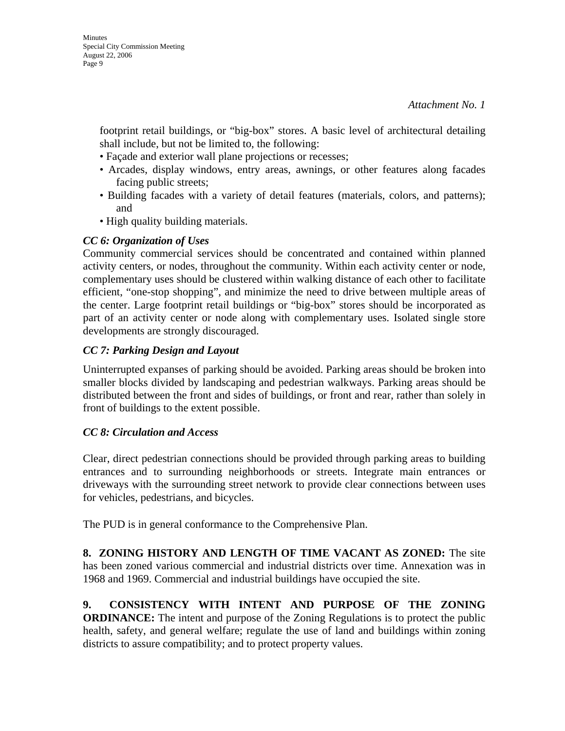footprint retail buildings, or "big-box" stores. A basic level of architectural detailing shall include, but not be limited to, the following:

- Façade and exterior wall plane projections or recesses;
- Arcades, display windows, entry areas, awnings, or other features along facades facing public streets;
- Building facades with a variety of detail features (materials, colors, and patterns); and
- High quality building materials.

#### *CC 6: Organization of Uses*

Community commercial services should be concentrated and contained within planned activity centers, or nodes, throughout the community. Within each activity center or node, complementary uses should be clustered within walking distance of each other to facilitate efficient, "one-stop shopping", and minimize the need to drive between multiple areas of the center. Large footprint retail buildings or "big-box" stores should be incorporated as part of an activity center or node along with complementary uses. Isolated single store developments are strongly discouraged.

#### *CC 7: Parking Design and Layout*

Uninterrupted expanses of parking should be avoided. Parking areas should be broken into smaller blocks divided by landscaping and pedestrian walkways. Parking areas should be distributed between the front and sides of buildings, or front and rear, rather than solely in front of buildings to the extent possible.

#### *CC 8: Circulation and Access*

Clear, direct pedestrian connections should be provided through parking areas to building entrances and to surrounding neighborhoods or streets. Integrate main entrances or driveways with the surrounding street network to provide clear connections between uses for vehicles, pedestrians, and bicycles.

The PUD is in general conformance to the Comprehensive Plan.

**8. ZONING HISTORY AND LENGTH OF TIME VACANT AS ZONED:** The site has been zoned various commercial and industrial districts over time. Annexation was in 1968 and 1969. Commercial and industrial buildings have occupied the site.

**9. CONSISTENCY WITH INTENT AND PURPOSE OF THE ZONING ORDINANCE:** The intent and purpose of the Zoning Regulations is to protect the public health, safety, and general welfare; regulate the use of land and buildings within zoning districts to assure compatibility; and to protect property values.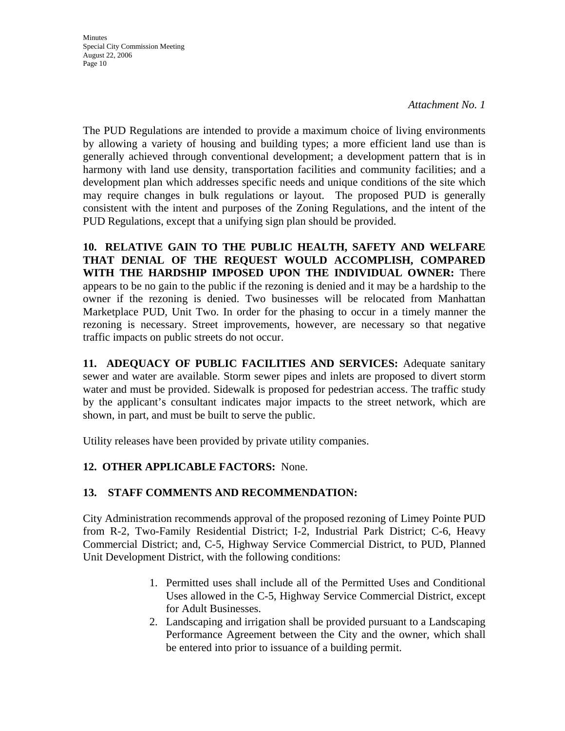*Attachment No. 1* 

The PUD Regulations are intended to provide a maximum choice of living environments by allowing a variety of housing and building types; a more efficient land use than is generally achieved through conventional development; a development pattern that is in harmony with land use density, transportation facilities and community facilities; and a development plan which addresses specific needs and unique conditions of the site which may require changes in bulk regulations or layout. The proposed PUD is generally consistent with the intent and purposes of the Zoning Regulations, and the intent of the PUD Regulations, except that a unifying sign plan should be provided.

**10. RELATIVE GAIN TO THE PUBLIC HEALTH, SAFETY AND WELFARE THAT DENIAL OF THE REQUEST WOULD ACCOMPLISH, COMPARED WITH THE HARDSHIP IMPOSED UPON THE INDIVIDUAL OWNER:** There appears to be no gain to the public if the rezoning is denied and it may be a hardship to the owner if the rezoning is denied. Two businesses will be relocated from Manhattan Marketplace PUD, Unit Two. In order for the phasing to occur in a timely manner the rezoning is necessary. Street improvements, however, are necessary so that negative traffic impacts on public streets do not occur.

**11. ADEQUACY OF PUBLIC FACILITIES AND SERVICES:** Adequate sanitary sewer and water are available. Storm sewer pipes and inlets are proposed to divert storm water and must be provided. Sidewalk is proposed for pedestrian access. The traffic study by the applicant's consultant indicates major impacts to the street network, which are shown, in part, and must be built to serve the public.

Utility releases have been provided by private utility companies.

### **12. OTHER APPLICABLE FACTORS:** None.

#### **13. STAFF COMMENTS AND RECOMMENDATION:**

City Administration recommends approval of the proposed rezoning of Limey Pointe PUD from R-2, Two-Family Residential District; I-2, Industrial Park District; C-6, Heavy Commercial District; and, C-5, Highway Service Commercial District, to PUD, Planned Unit Development District, with the following conditions:

- 1. Permitted uses shall include all of the Permitted Uses and Conditional Uses allowed in the C-5, Highway Service Commercial District, except for Adult Businesses.
- 2. Landscaping and irrigation shall be provided pursuant to a Landscaping Performance Agreement between the City and the owner, which shall be entered into prior to issuance of a building permit.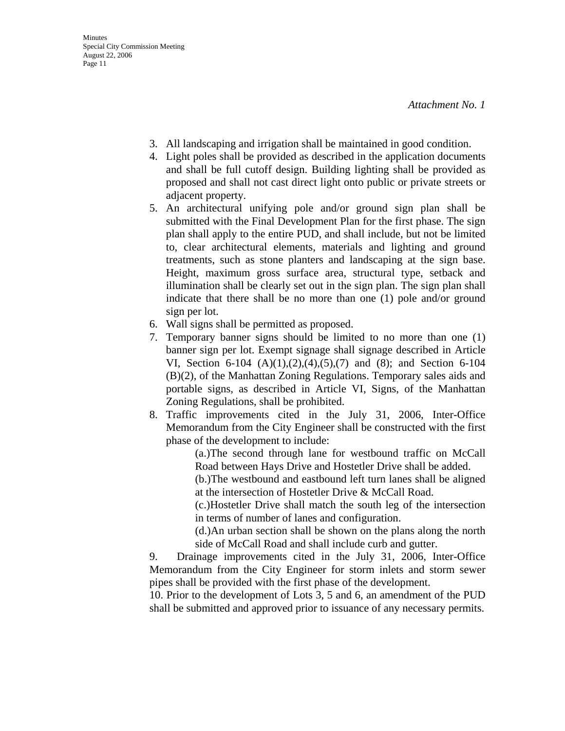- 3. All landscaping and irrigation shall be maintained in good condition.
- 4. Light poles shall be provided as described in the application documents and shall be full cutoff design. Building lighting shall be provided as proposed and shall not cast direct light onto public or private streets or adjacent property.
- 5. An architectural unifying pole and/or ground sign plan shall be submitted with the Final Development Plan for the first phase. The sign plan shall apply to the entire PUD, and shall include, but not be limited to, clear architectural elements, materials and lighting and ground treatments, such as stone planters and landscaping at the sign base. Height, maximum gross surface area, structural type, setback and illumination shall be clearly set out in the sign plan. The sign plan shall indicate that there shall be no more than one (1) pole and/or ground sign per lot.
- 6. Wall signs shall be permitted as proposed.
- 7. Temporary banner signs should be limited to no more than one (1) banner sign per lot. Exempt signage shall signage described in Article VI, Section 6-104 (A)(1),(2),(4),(5),(7) and (8); and Section 6-104 (B)(2), of the Manhattan Zoning Regulations. Temporary sales aids and portable signs, as described in Article VI, Signs, of the Manhattan Zoning Regulations, shall be prohibited.
- 8. Traffic improvements cited in the July 31, 2006, Inter-Office Memorandum from the City Engineer shall be constructed with the first phase of the development to include:

(a.)The second through lane for westbound traffic on McCall Road between Hays Drive and Hostetler Drive shall be added.

(b.)The westbound and eastbound left turn lanes shall be aligned at the intersection of Hostetler Drive & McCall Road.

(c.)Hostetler Drive shall match the south leg of the intersection in terms of number of lanes and configuration.

(d.)An urban section shall be shown on the plans along the north side of McCall Road and shall include curb and gutter.

9. Drainage improvements cited in the July 31, 2006, Inter-Office Memorandum from the City Engineer for storm inlets and storm sewer pipes shall be provided with the first phase of the development.

10. Prior to the development of Lots 3, 5 and 6, an amendment of the PUD shall be submitted and approved prior to issuance of any necessary permits.